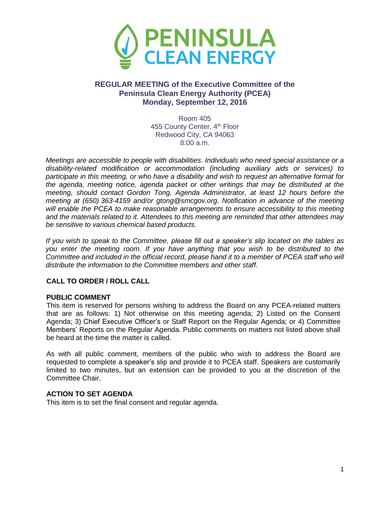

# **REGULAR MEETING of the Executive Committee of the Peninsula Clean Energy Authority (PCEA) Monday, September 12, 2016**

Room 405 455 County Center, 4<sup>th</sup> Floor Redwood City, CA 94063 8:00 a.m.

*Meetings are accessible to people with disabilities. Individuals who need special assistance or a disability-related modification or accommodation (including auxiliary aids or services) to participate in this meeting, or who have a disability and wish to request an alternative format for the agenda, meeting notice, agenda packet or other writings that may be distributed at the meeting, should contact Gordon Tong, Agenda Administrator, at least 12 hours before the meeting at (650) 363-4159 and/or gtong@smcgov.org. Notification in advance of the meeting will enable the PCEA to make reasonable arrangements to ensure accessibility to this meeting and the materials related to it. Attendees to this meeting are reminded that other attendees may be sensitive to various chemical based products.*

*If you wish to speak to the Committee, please fill out a speaker's slip located on the tables as you enter the meeting room. If you have anything that you wish to be distributed to the Committee and included in the official record, please hand it to a member of PCEA staff who will distribute the information to the Committee members and other staff.*

### **CALL TO ORDER / ROLL CALL**

#### **PUBLIC COMMENT**

This item is reserved for persons wishing to address the Board on any PCEA-related matters that are as follows: 1) Not otherwise on this meeting agenda; 2) Listed on the Consent Agenda; 3) Chief Executive Officer's or Staff Report on the Regular Agenda; or 4) Committee Members' Reports on the Regular Agenda. Public comments on matters not listed above shall be heard at the time the matter is called.

As with all public comment, members of the public who wish to address the Board are requested to complete a speaker's slip and provide it to PCEA staff. Speakers are customarily limited to two minutes, but an extension can be provided to you at the discretion of the Committee Chair.

#### **ACTION TO SET AGENDA**

This item is to set the final consent and regular agenda.